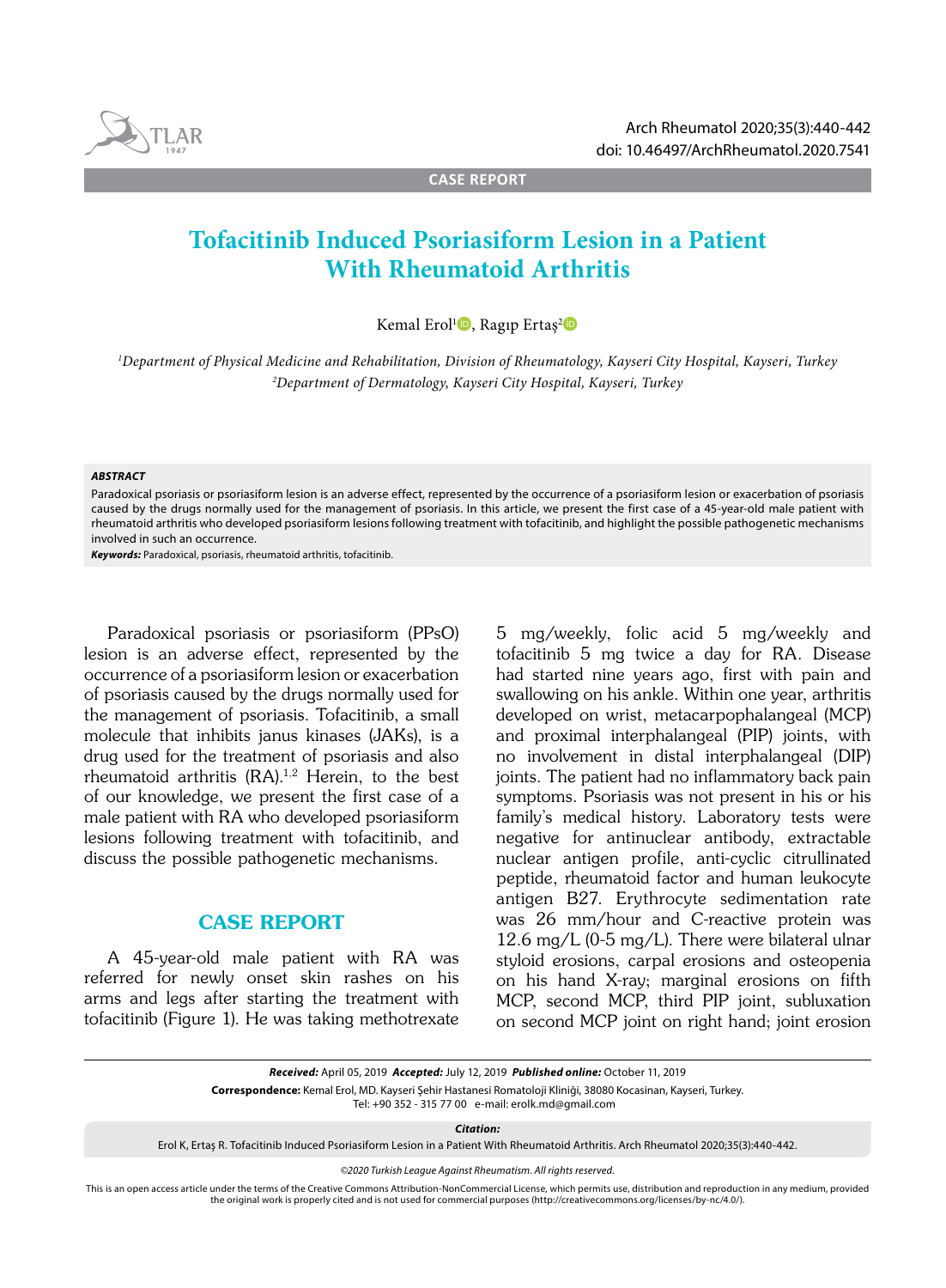

**CASE REPORT**

# **Tofacitinib Induced Psoriasiform Lesion in a Patient With Rheumatoid Arthritis**

Kemal Erol<sup>1</sup><sup>0</sup>, Ragıp Ertaş<sup>2</sup><sup>0</sup>

*1 Department of Physical Medicine and Rehabilitation, Division of Rheumatology, Kayseri City Hospital, Kayseri, Turkey 2 Department of Dermatology, Kayseri City Hospital, Kayseri, Turkey*

#### *ABSTRACT*

Paradoxical psoriasis or psoriasiform lesion is an adverse effect, represented by the occurrence of a psoriasiform lesion or exacerbation of psoriasis caused by the drugs normally used for the management of psoriasis. In this article, we present the first case of a 45-year-old male patient with rheumatoid arthritis who developed psoriasiform lesions following treatment with tofacitinib, and highlight the possible pathogenetic mechanisms involved in such an occurrence.

*Keywords:* Paradoxical, psoriasis, rheumatoid arthritis, tofacitinib.

Paradoxical psoriasis or psoriasiform (PPsO) lesion is an adverse effect, represented by the occurrence of a psoriasiform lesion or exacerbation of psoriasis caused by the drugs normally used for the management of psoriasis. Tofacitinib, a small molecule that inhibits janus kinases (JAKs), is a drug used for the treatment of psoriasis and also rheumatoid arthritis (RA).1,2 Herein, to the best of our knowledge, we present the first case of a male patient with RA who developed psoriasiform lesions following treatment with tofacitinib, and discuss the possible pathogenetic mechanisms.

## CASE REPORT

A 45-year-old male patient with RA was referred for newly onset skin rashes on his arms and legs after starting the treatment with tofacitinib (Figure 1). He was taking methotrexate 5 mg/weekly, folic acid 5 mg/weekly and tofacitinib 5 mg twice a day for RA. Disease had started nine years ago, first with pain and swallowing on his ankle. Within one year, arthritis developed on wrist, metacarpophalangeal (MCP) and proximal interphalangeal (PIP) joints, with no involvement in distal interphalangeal (DIP) joints. The patient had no inflammatory back pain symptoms. Psoriasis was not present in his or his family's medical history. Laboratory tests were negative for antinuclear antibody, extractable nuclear antigen profile, anti-cyclic citrullinated peptide, rheumatoid factor and human leukocyte antigen B27. Erythrocyte sedimentation rate was 26 mm/hour and C-reactive protein was 12.6 mg/L (0-5 mg/L). There were bilateral ulnar styloid erosions, carpal erosions and osteopenia on his hand X-ray; marginal erosions on fifth MCP, second MCP, third PIP joint, subluxation on second MCP joint on right hand; joint erosion

Tel: +90 352 - 315 77 00 e-mail: erolk.md@gmail.com

*Citation:*

Erol K, Ertaş R. Tofacitinib Induced Psoriasiform Lesion in a Patient With Rheumatoid Arthritis. Arch Rheumatol 2020;35(3):440-442.

*©2020 Turkish League Against Rheumatism. All rights reserved.*

This is an open access article under the terms of the Creative Commons Attribution-NonCommercial License, which permits use, distribution and reproduction in any medium, provided the original work is properly cited and is not used for commercial purposes (http://creativecommons.org/licenses/by-nc/4.0/).

*Received:* April 05, 2019 *Accepted:* July 12, 2019 *Published online:* October 11, 2019

**Correspondence:** Kemal Erol, MD. Kayseri Şehir Hastanesi Romatoloji Kliniği, 38080 Kocasinan, Kayseri, Turkey.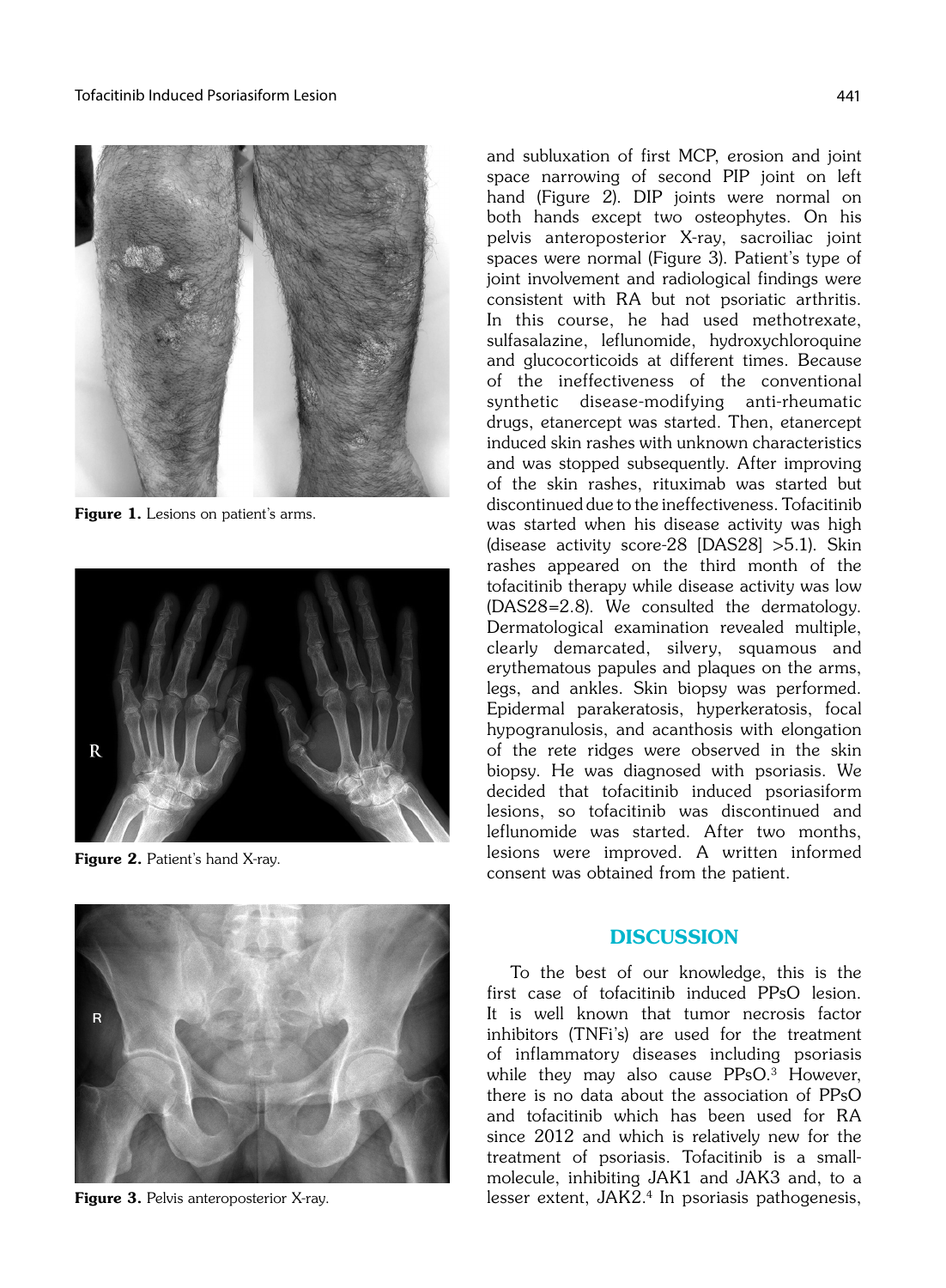

Figure 1. Lesions on patient's arms.



Figure 2. Patient's hand X-ray.



#### **DISCUSSION**

To the best of our knowledge, this is the first case of tofacitinib induced PPsO lesion. It is well known that tumor necrosis factor inhibitors (TNFi's) are used for the treatment of inflammatory diseases including psoriasis while they may also cause  $PPsO<sup>3</sup>$  However, there is no data about the association of PPsO and tofacitinib which has been used for RA since 2012 and which is relatively new for the treatment of psoriasis. Tofacitinib is a smallmolecule, inhibiting JAK1 and JAK3 and, to a lesser extent, JAK2.4 In psoriasis pathogenesis,



Figure 3. Pelvis anteroposterior X-ray.